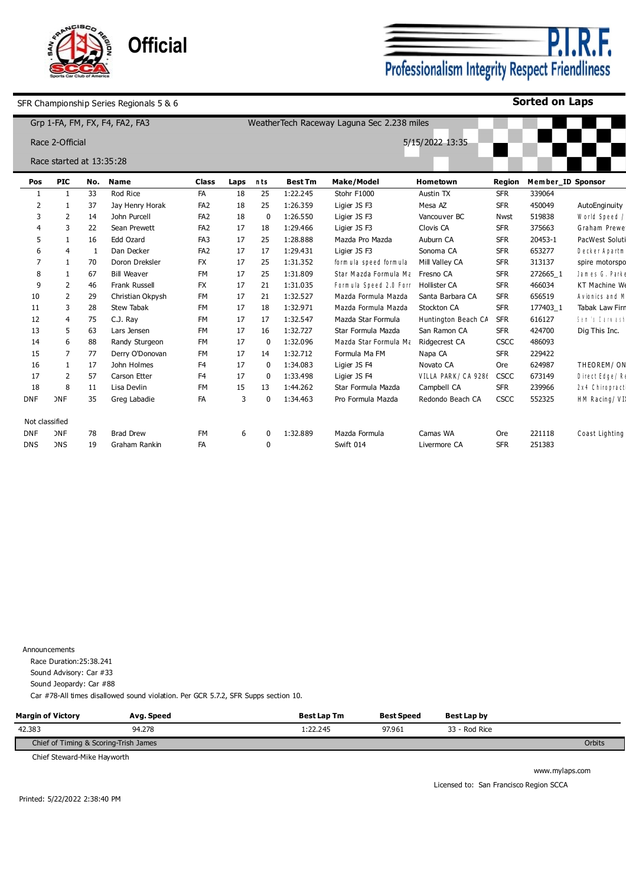

<u>P.I.R.F.</u> Professionalism Integrity Respect Friendliness

**Sorted on Laps**

|                |                          |     | Grp 1-FA, FM, FX, F4, FA2, FA3 |                 |      |          |                | WeatherTech Raceway Laguna Sec 2.238 miles |                     |             |                   |                        |
|----------------|--------------------------|-----|--------------------------------|-----------------|------|----------|----------------|--------------------------------------------|---------------------|-------------|-------------------|------------------------|
|                | Race 2-Official          |     |                                |                 |      |          |                |                                            | 5/15/2022 13:35     |             |                   |                        |
|                | Race started at 13:35:28 |     |                                |                 |      |          |                |                                            |                     |             |                   |                        |
| Pos            | <b>PIC</b>               | No. | <b>Name</b>                    | <b>Class</b>    | Laps | nts      | <b>Best Tm</b> | <b>Make/Model</b>                          | Hometown            | Region      | Member ID Sponsor |                        |
|                |                          | 33  | Rod Rice                       | FA              | 18   | 25       | 1:22.245       | Stohr F1000                                | Austin TX           | <b>SFR</b>  | 339064            |                        |
| $\overline{2}$ |                          | 37  | Jay Henry Horak                | FA <sub>2</sub> | 18   | 25       | 1:26.359       | Ligier JS F3                               | Mesa AZ             | <b>SFR</b>  | 450049            | AutoEnginuity          |
| 3              | 2                        | 14  | John Purcell                   | FA <sub>2</sub> | 18   | 0        | 1:26.550       | Ligier JS F3                               | Vancouver BC        | Nwst        | 519838            | World Speed /          |
|                | 3                        | 22  | Sean Prewett                   | FA <sub>2</sub> | 17   | 18       | 1:29.466       | Ligier JS F3                               | Clovis CA           | <b>SFR</b>  | 375663            | Graham Prewe           |
| 5              |                          | 16  | Edd Ozard                      | FA3             | 17   | 25       | 1:28.888       | Mazda Pro Mazda                            | Auburn CA           | <b>SFR</b>  | 20453-1           | PacWest Soluti         |
|                | 4                        |     | Dan Decker                     | FA <sub>2</sub> | 17   | 17       | 1:29.431       | Ligier JS F3                               | Sonoma CA           | <b>SFR</b>  | 653277            | Decker Apartm          |
|                |                          | 70  | Doron Dreksler                 | <b>FX</b>       | 17   | 25       | 1:31.352       | form ula speed form ula                    | Mill Valley CA      | <b>SFR</b>  | 313137            | spire motorspo         |
| 8              |                          | 67  | <b>Bill Weaver</b>             | <b>FM</b>       | 17   | 25       | 1:31.809       | Star Mazda Formula Ma                      | Fresno CA           | <b>SFR</b>  | 272665 1          | James G. Parke         |
| 9              | 2                        | 46  | Frank Russell                  | <b>FX</b>       | 17   | 21       | 1:31.035       | Formula Speed 2.0 Form                     | <b>Hollister CA</b> | <b>SFR</b>  | 466034            | KT Machine We          |
| 10             | 2                        | 29  | Christian Okpysh               | FM              | 17   | 21       | 1:32.527       | Mazda Formula Mazda                        | Santa Barbara CA    | <b>SFR</b>  | 656519            | Avionics and M         |
| 11             | 3                        | 28  | Stew Tabak                     | FM              | 17   | 18       | 1:32.971       | Mazda Formula Mazda                        | Stockton CA         | <b>SFR</b>  | 177403_1          | Tabak Law Firn         |
| 12             | $\overline{4}$           | 75  | C.J. Ray                       | <b>FM</b>       | 17   | 17       | 1:32.547       | Mazda Star Formula                         | Huntington Beach CA | <b>SFR</b>  | 616127            | <b>Sen 's Carmashl</b> |
| 13             | 5                        | 63  | Lars Jensen                    | FM              | 17   | 16       | 1:32.727       | Star Formula Mazda                         | San Ramon CA        | <b>SFR</b>  | 424700            | Dig This Inc.          |
| 14             | 6                        | 88  | Randy Sturgeon                 | <b>FM</b>       | 17   | 0        | 1:32.096       | Mazda Star Formula Ma                      | Ridgecrest CA       | CSCC        | 486093            |                        |
| 15             | 7                        | 77  | Derry O'Donovan                | FM              | 17   | 14       | 1:32.712       | Formula Ma FM                              | Napa CA             | <b>SFR</b>  | 229422            |                        |
| 16             |                          | 17  | John Holmes                    | F <sub>4</sub>  | 17   | 0        | 1:34.083       | Ligier JS F4                               | Novato CA           | Ore         | 624987            | THEOREM/ON             |
| 17             | $\overline{2}$           | 57  | Carson Etter                   | F <sub>4</sub>  | 17   | 0        | 1:33.498       | Ligier JS F4                               | VILLA PARK/ CA 9286 | <b>CSCC</b> | 673149            | Direct Edge/Re         |
| 18             | 8                        | 11  | Lisa Devlin                    | FM              | 15   | 13       | 1:44.262       | Star Formula Mazda                         | Campbell CA         | <b>SFR</b>  | 239966            | 2 x 4 Chiropract       |
| <b>DNF</b>     | <b>DNF</b>               | 35  | Greg Labadie                   | FA              | 3    | $\Omega$ | 1:34.463       | Pro Formula Mazda                          | Redondo Beach CA    | CSCC        | 552325            | HM Racing/VI)          |
| Not classified |                          |     |                                |                 |      |          |                |                                            |                     |             |                   |                        |
| <b>DNF</b>     | <b>DNF</b>               | 78  | <b>Brad Drew</b>               | <b>FM</b>       | 6    | 0        | 1:32.889       | Mazda Formula                              | Camas WA            | Ore         | 221118            | Coast Lighting         |
| <b>DNS</b>     | <b>DNS</b>               | 19  | Graham Rankin                  | FA              |      | $\Omega$ |                | Swift 014                                  | Livermore CA        | <b>SFR</b>  | 251383            |                        |

Announcements

Race Duration:25:38.241

Sound Advisory: Car #33

Sound Jeopardy: Car #88

Car #78-All times disallowed sound violation. Per GCR 5.7.2, SFR Supps section 10.

| <b>Margin of Victory</b>              | Avg. Speed | <b>Best Lap Tm</b> | <b>Best Speed</b> | Best Lap by   |        |
|---------------------------------------|------------|--------------------|-------------------|---------------|--------|
| 42.383                                | 94.278     | 1:22.245           | 97.961            | 33 - Rod Rice |        |
| Chief of Timing & Scoring-Trish James |            |                    |                   |               | Orbits |

Chief Steward-Mike Hayworth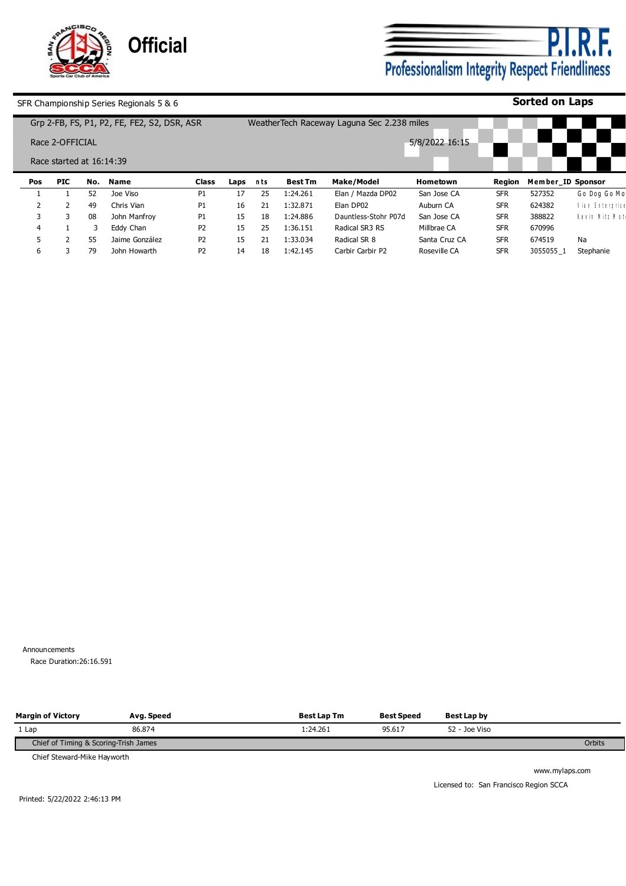

**P.I.R.F.**<br>Professionalism Integrity Respect Friendliness

# **Sorted on Laps**

|     |                          |     | Grp 2-FB, FS, P1, P2, FE, FE2, S2, DSR, ASR |                |      |     |                | Weather Tech Raceway Laguna Sec 2.238 miles |                |            |                   |                 |
|-----|--------------------------|-----|---------------------------------------------|----------------|------|-----|----------------|---------------------------------------------|----------------|------------|-------------------|-----------------|
|     | Race 2-OFFICIAL          |     |                                             |                |      |     |                |                                             | 5/8/2022 16:15 |            |                   |                 |
|     | Race started at 16:14:39 |     |                                             |                |      |     |                |                                             |                |            |                   |                 |
| Pos | <b>PIC</b>               | No. | Name                                        | <b>Class</b>   | Laps | nts | <b>Best Tm</b> | Make/Model                                  | Hometown       | Region     | Member ID Sponsor |                 |
|     |                          | 52  | Joe Viso                                    | P1             | 17   | 25  | 1:24.261       | Elan / Mazda DP02                           | San Jose CA    | <b>SFR</b> | 527352            | Go Dog Go Mo'   |
|     |                          | 49  | Chris Vian                                  | P1             | 16   | 21  | 1:32.871       | Elan DP02                                   | Auburn CA      | <b>SFR</b> | 624382            | Vian Enterprise |
|     |                          | 08  | John Manfrov                                | P1             | 15   | 18  | 1:24.886       | Dauntless-Stohr P07d                        | San Jose CA    | <b>SFR</b> | 388822            | Kevin Mitz Motl |
| 4   |                          |     | Eddy Chan                                   | P <sub>2</sub> | 15   | 25  | 1:36.151       | Radical SR3 RS                              | Millbrae CA    | <b>SFR</b> | 670996            |                 |
|     |                          | 55  | Jaime González                              | <b>P2</b>      | 15   | 21  | 1:33.034       | Radical SR 8                                | Santa Cruz CA  | <b>SFR</b> | 674519            | Na              |
| 6   |                          | 79  | John Howarth                                | P <sub>2</sub> | 14   | 18  | 1:42.145       | Carbir Carbir P2                            | Roseville CA   | <b>SFR</b> | 3055055 1         | Stephanie       |

Announcements Race Duration: 26:16.591

| <b>Margin of Victory</b>              | Avg. Speed | <b>Best Lap Tm</b> | <b>Best Speed</b> | Best Lap by   |        |
|---------------------------------------|------------|--------------------|-------------------|---------------|--------|
| 1 Lap                                 | 86.874     | 1:24.261           | 95.617            | 52 - Joe Viso |        |
| Chief of Timing & Scoring-Trish James |            |                    |                   |               | Orbits |

Chief Steward-Mike Hayworth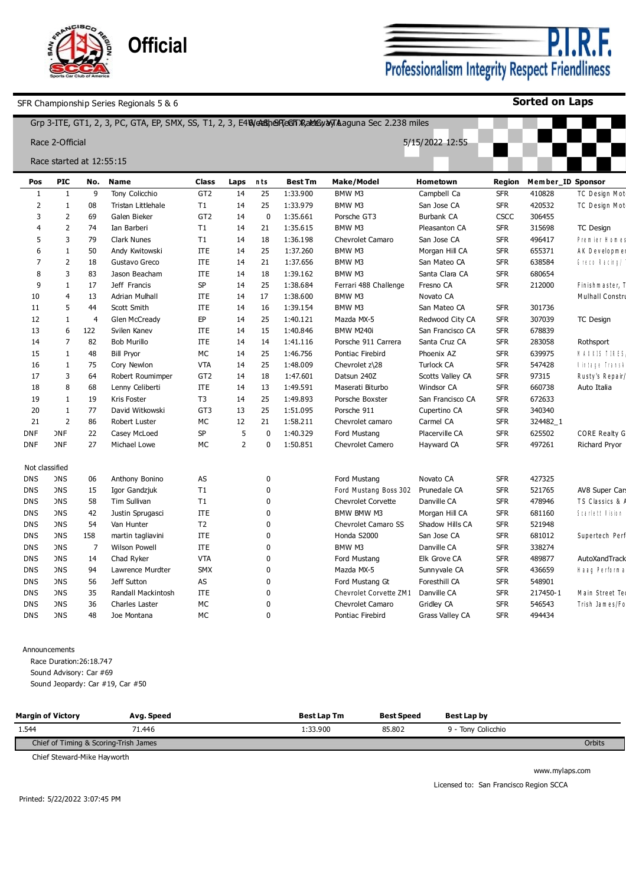

P.I F. Professionalism Integrity Respect Friendliness

**Sorted on Laps**

|              |                          |                |                    |                 |                |                |                | Grp 3-ITE, GT1, 2, 3, PC, GTA, EP, SMX, SS, T1, 2, 3, E4Weltsher TeGh XRaktEyayTAaguna Sec 2.238 miles |                        |            |                   |                      |
|--------------|--------------------------|----------------|--------------------|-----------------|----------------|----------------|----------------|--------------------------------------------------------------------------------------------------------|------------------------|------------|-------------------|----------------------|
|              | Race 2-Official          |                |                    |                 |                |                |                |                                                                                                        | 5/15/2022 12:55        |            |                   |                      |
|              | Race started at 12:55:15 |                |                    |                 |                |                |                |                                                                                                        |                        |            |                   |                      |
| Pos          | <b>PIC</b>               | No.            | Name               | <b>Class</b>    | Laps           | nts            | <b>Best Tm</b> | Make/Model                                                                                             | Hometown               | Region     | Member_ID Sponsor |                      |
| 1            | $\mathbf{1}$             | 9              | Tony Colicchio     | GT <sub>2</sub> | 14             | 25             | 1:33.900       | BMW M3                                                                                                 | Campbell Ca            | <b>SFR</b> | 410828            | TC Design Mot        |
| 2            | 1                        | 08             | Tristan Littlehale | T1              | 14             | 25             | 1:33.979       | BMW M3                                                                                                 | San Jose CA            | <b>SFR</b> | 420532            | TC Design Mot        |
| 3            | $\overline{2}$           | 69             | Galen Bieker       | GT <sub>2</sub> | 14             | $\mathbf 0$    | 1:35.661       | Porsche GT3                                                                                            | Burbank CA             | CSCC       | 306455            |                      |
|              | $\overline{2}$           | 74             | Ian Barberi        | T1              | 14             | 21             | 1:35.615       | BMW M3                                                                                                 | Pleasanton CA          | <b>SFR</b> | 315698            | <b>TC Design</b>     |
| 5            | 3                        | 79             | <b>Clark Nunes</b> | T1              | 14             | 18             | 1:36.198       | <b>Chevrolet Camaro</b>                                                                                | San Jose CA            | <b>SFR</b> | 496417            | Premier Homes        |
| 6            | 1                        | 50             | Andy Kwitowski     | <b>ITE</b>      | 14             | 25             | 1:37.260       | BMW M3                                                                                                 | Morgan Hill CA         | <b>SFR</b> | 655371            | AK Developmen        |
| 7            | $\overline{2}$           | 18             | Gustavo Greco      | <b>ITE</b>      | 14             | 21             | 1:37.656       | BMW M3                                                                                                 | San Mateo CA           | <b>SFR</b> | 638584            | Greco Racing/        |
| 8            | 3                        | 83             | Jason Beacham      | <b>ITE</b>      | 14             | 18             | 1:39.162       | BMW M3                                                                                                 | Santa Clara CA         | <b>SFR</b> | 680654            |                      |
| $\mathbf{q}$ | 1                        | 17             | Jeff Francis       | <b>SP</b>       | 14             | 25             | 1:38.684       | Ferrari 488 Challenge                                                                                  | Fresno CA              | <b>SFR</b> | 212000            | Finishmaster, T      |
| 10           | $\overline{4}$           | 13             | Adrian Mulhall     | <b>ITE</b>      | 14             | 17             | 1:38.600       | BMW M3                                                                                                 | Novato CA              |            |                   | Mulhall Constru      |
| 11           | 5                        | 44             | Scott Smith        | <b>ITE</b>      | 14             | 16             | 1:39.154       | BMW M3                                                                                                 | San Mateo CA           | <b>SFR</b> | 301736            |                      |
| 12           | 1                        | $\overline{4}$ | Glen McCready      | EP              | 14             | 25             | 1:40.121       | Mazda MX-5                                                                                             | Redwood City CA        | <b>SFR</b> | 307039            | <b>TC Design</b>     |
| 13           | 6                        | 122            | Svilen Kanev       | <b>ITE</b>      | 14             | 15             | 1:40.846       | BMW M240i                                                                                              | San Francisco CA       | <b>SFR</b> | 678839            |                      |
| 14           | $\overline{7}$           | 82             | Bob Murillo        | <b>ITE</b>      | 14             | 14             | 1:41.116       | Porsche 911 Carrera                                                                                    | Santa Cruz CA          | <b>SFR</b> | 283058            | Rothsport            |
| 15           | 1                        | 48             | <b>Bill Pryor</b>  | МC              | 14             | 25             | 1:46.756       | Pontiac Firebird                                                                                       | Phoenix AZ             | <b>SFR</b> | 639975            | <b>NAXXIS TIRES</b>  |
| 16           | $\mathbf{1}$             | 75             | Cory Newlon        | <b>VTA</b>      | 14             | 25             | 1:48.009       | Chevrolet z\28                                                                                         | <b>Turlock CA</b>      | <b>SFR</b> | 547428            | l'intege Trensk      |
| 17           | 3                        | 64             | Robert Roumimper   | GT <sub>2</sub> | 14             | 18             | 1:47.601       | Datsun 240Z                                                                                            | Scotts Valley CA       | <b>SFR</b> | 97315             | Rusty's Repair/      |
| 18           | 8                        | 68             | Lenny Celiberti    | <b>ITE</b>      | 14             | 13             | 1:49.591       | Maserati Biturbo                                                                                       | Windsor CA             | <b>SFR</b> | 660738            | Auto Italia          |
| 19           | 1                        | 19             | Kris Foster        | T <sub>3</sub>  | 14             | 25             | 1:49.893       | Porsche Boxster                                                                                        | San Francisco CA       | <b>SFR</b> | 672633            |                      |
| 20           | 1                        | 77             | David Witkowski    | GT3             | 13             | 25             | 1:51.095       | Porsche 911                                                                                            | Cupertino CA           | <b>SFR</b> | 340340            |                      |
| 21           | $\overline{2}$           | 86             | Robert Luster      | МC              | 12             | 21             | 1:58.211       | Chevrolet camaro                                                                                       | Carmel CA              | <b>SFR</b> | 324482_1          |                      |
| <b>DNF</b>   | <b>DNF</b>               | 22             | Casey McLoed       | <b>SP</b>       | 5              | $\mathbf 0$    | 1:40.329       | Ford Mustang                                                                                           | Placerville CA         | <b>SFR</b> | 625502            | <b>CORE Realty G</b> |
| <b>DNF</b>   | <b>DNF</b>               | 27             | Michael Lowe       | МC              | $\overline{2}$ | $\mathbf{0}$   | 1:50.851       | <b>Chevrolet Camero</b>                                                                                | Hayward CA             | <b>SFR</b> | 497261            | Richard Pryor        |
|              | Not classified           |                |                    |                 |                |                |                |                                                                                                        |                        |            |                   |                      |
| <b>DNS</b>   | <b>DNS</b>               | 06             | Anthony Bonino     | AS              |                | $\pmb{0}$      |                | Ford Mustang                                                                                           | Novato CA              | <b>SFR</b> | 427325            |                      |
| <b>DNS</b>   | <b>DNS</b>               | 15             | Igor Gandzjuk      | T1              |                | $\overline{0}$ |                | Ford Mustang Boss 302                                                                                  | Prunedale CA           | <b>SFR</b> | 521765            | AV8 Super Cars       |
| <b>DNS</b>   | <b>DNS</b>               | 58             | Tim Sullivan       | T1              |                | $\mathbf 0$    |                | Chevrolet Corvette                                                                                     | Danville CA            | <b>SFR</b> | 478946            | TS Classics & /      |
| DNS          | <b>DNS</b>               | 42             | Justin Sprugasci   | <b>ITE</b>      |                | $\mathbf 0$    |                | BMW BMW M3                                                                                             | Morgan Hill CA         | <b>SFR</b> | 681160            | Scarlett Vision      |
| DNS          | <b>DNS</b>               | 54             | Van Hunter         | T <sub>2</sub>  |                | $\Omega$       |                | Chevrolet Camaro SS                                                                                    | Shadow Hills CA        | <b>SFR</b> | 521948            |                      |
| DNS          | <b>DNS</b>               | 158            | martin tagliavini  | <b>ITE</b>      |                | $\mathbf 0$    |                | Honda S2000                                                                                            | San Jose CA            | <b>SFR</b> | 681012            | Supertech Perf       |
| DNS          | <b>DNS</b>               | 7              | Wilson Powell      | <b>ITE</b>      |                | $\mathbf 0$    |                | BMW M3                                                                                                 | Danville CA            | <b>SFR</b> | 338274            |                      |
| DNS          | <b>DNS</b>               | 14             | Chad Ryker         | <b>VTA</b>      |                | $\mathbf{0}$   |                | Ford Mustang                                                                                           | Elk Grove CA           | <b>SFR</b> | 489877            | AutoXandTrack        |
| DNS          | <b>DNS</b>               | 94             | Lawrence Murdter   | <b>SMX</b>      |                | $\mathbf{0}$   |                | Mazda MX-5                                                                                             | Sunnyvale CA           | <b>SFR</b> | 436659            | Haag Performa        |
| <b>DNS</b>   | <b>DNS</b>               | 56             | Jeff Sutton        | AS              |                | $\mathbf{0}$   |                | Ford Mustang Gt                                                                                        | Foresthill CA          | <b>SFR</b> | 548901            |                      |
| DNS          | <b>DNS</b>               | 35             | Randall Mackintosh | <b>ITE</b>      |                | $\Omega$       |                | Chevrolet Corvette ZM1                                                                                 | Danville CA            | <b>SFR</b> | 217450-1          | Main Street Te       |
| <b>DNS</b>   | <b>DNS</b>               | 36             | Charles Laster     | МC              |                | $\Omega$       |                | <b>Chevrolet Camaro</b>                                                                                | Gridley CA             | <b>SFR</b> | 546543            | Trish James/Fo       |
| <b>DNS</b>   | <b>DNS</b>               | 48             | Joe Montana        | <b>MC</b>       |                | $\Omega$       |                | Pontiac Firebird                                                                                       | <b>Grass Valley CA</b> | <b>SFR</b> | 494434            |                      |
|              |                          |                |                    |                 |                |                |                |                                                                                                        |                        |            |                   |                      |

Announcements

Race Duration:26:18.747 Sound Advisory: Car #69

Sound Jeopardy: Car #19, Car #50

| <b>Margin of Victory</b>              | Avg. Speed | <b>Best Lap Tm</b> | Best Speed | Best Lap by        |        |
|---------------------------------------|------------|--------------------|------------|--------------------|--------|
| 1.544                                 | 71.446     | :33.900            | 85,802     | 9 - Tony Colicchio |        |
| Chief of Timing & Scoring-Trish James |            |                    |            |                    | Orbits |

Chief Steward-Mike Hayworth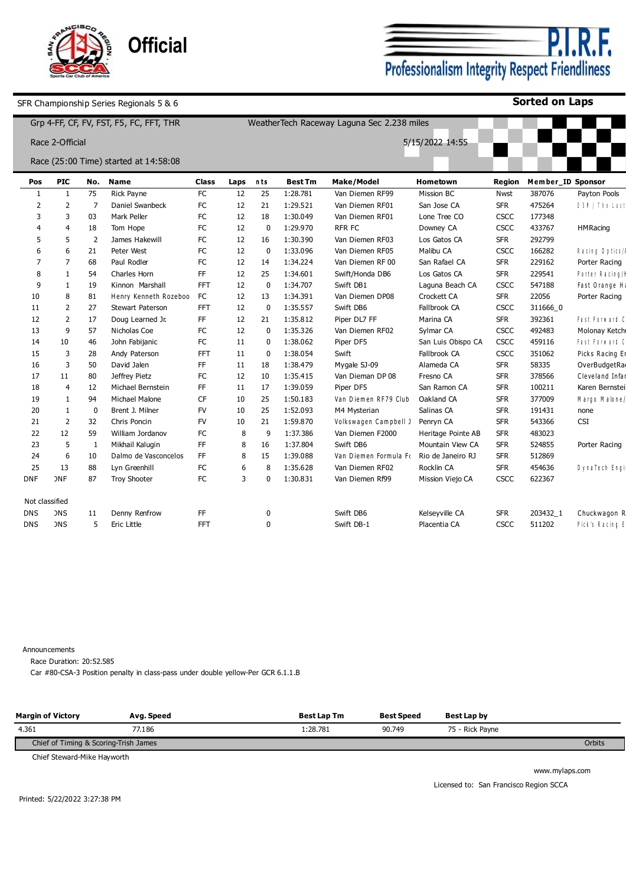

**P.I.R.F.**<br>Professionalism Integrity Respect Friendliness

**Sorted on Laps**

|            |                 |                |          | Grp 4-FF, CF, FV, FST, F5, FC, FFT, THR |            | WeatherTech Raceway Laguna Sec 2.238 miles |              |                |                       |                    |               |                   |                 |
|------------|-----------------|----------------|----------|-----------------------------------------|------------|--------------------------------------------|--------------|----------------|-----------------------|--------------------|---------------|-------------------|-----------------|
|            | Race 2-Official |                |          |                                         |            |                                            |              |                |                       | 5/15/2022 14:55    |               |                   |                 |
|            |                 |                |          | Race (25:00 Time) started at 14:58:08   |            |                                            |              |                |                       |                    |               |                   |                 |
|            | Pos             | <b>PIC</b>     | No.      | Name                                    | Class      | Laps                                       | nts          | <b>Best Tm</b> | Make/Model            | Hometown           | <b>Region</b> | Member ID Sponsor |                 |
|            | 1               | 1              | 75       | <b>Rick Pavne</b>                       | FC         | 12                                         | 25           | 1:28.781       | Van Diemen RF99       | Mission BC         | Nwst          | 387076            | Payton Pools    |
|            | 2               | 2              | 7        | Daniel Swanbeck                         | FC         | 12                                         | 21           | 1:29.521       | Van Diemen RF01       | San Jose CA        | <b>SFR</b>    | 475264            | DSN / The Last  |
|            | 3               | 3              | 03       | Mark Peller                             | FC         | 12                                         | 18           | 1:30.049       | Van Diemen RF01       | Lone Tree CO       | <b>CSCC</b>   | 177348            |                 |
|            |                 | $\overline{4}$ | 18       | Tom Hope                                | FC         | 12                                         | $\mathbf 0$  | 1:29.970       | RFR FC                | Downey CA          | CSCC          | 433767            | <b>HMRacing</b> |
|            |                 | 5              | 2        | James Hakewill                          | FC         | 12                                         | 16           | 1:30.390       | Van Diemen RF03       | Los Gatos CA       | <b>SFR</b>    | 292799            |                 |
|            |                 | 6              | 21       | Peter West                              | FC         | 12                                         | $\Omega$     | 1:33.096       | Van Diemen RF05       | Malibu CA          | <b>CSCC</b>   | 166282            | Racing Optics/A |
|            |                 | 7              | 68       | Paul Rodler                             | FC         | 12                                         | 14           | 1:34.224       | Van Diemen RF 00      | San Rafael CA      | <b>SFR</b>    | 229162            | Porter Racing   |
|            |                 | -1             | 54       | Charles Horn                            | FF.        | 12                                         | 25           | 1:34.601       | Swift/Honda DB6       | Los Gatos CA       | <b>SFR</b>    | 229541            | Porter Racing/H |
|            | 9               | -1             | 19       | Kinnon Marshall                         | <b>FFT</b> | 12                                         | $\mathbf{0}$ | 1:34.707       | Swift DB1             | Laguna Beach CA    | <b>CSCC</b>   | 547188            | Fast Orange H   |
|            | 10              | 8              | 81       | Henry Kenneth Rozeboo                   | <b>FC</b>  | 12                                         | 13           | 1:34.391       | Van Diemen DP08       | Crockett CA        | <b>SFR</b>    | 22056             | Porter Racing   |
|            | 11              | 2              | 27       | Stewart Paterson                        | <b>FFT</b> | 12                                         | $\mathbf{0}$ | 1:35.557       | Swift DB6             | Fallbrook CA       | <b>CSCC</b>   | 311666 0          |                 |
|            | 12              | 2              | 17       | Doug Learned Jr.                        | FF.        | 12                                         | 21           | 1:35.812       | Piper DL7 FF          | Marina CA          | <b>SFR</b>    | 392361            | Fast Forward C  |
|            | 13              | 9              | 57       | Nicholas Coe                            | FC         | 12                                         | $\Omega$     | 1:35.326       | Van Diemen RF02       | Sylmar CA          | CSCC          | 492483            | Molonay Ketch   |
|            | 14              | 10             | 46       | John Fabijanic                          | FC         | 11                                         | $\Omega$     | 1:38.062       | Piper DF5             | San Luis Obispo CA | <b>CSCC</b>   | 459116            | Fast Forward C  |
|            | 15              | 3              | 28       | Andy Paterson                           | FFT        | 11                                         | $\Omega$     | 1:38.054       | Swift                 | Fallbrook CA       | <b>CSCC</b>   | 351062            | Picks Racing Er |
|            | 16              | 3              | 50       | David Jalen                             | FF         | 11                                         | 18           | 1:38.479       | Mygale SJ-09          | Alameda CA         | <b>SFR</b>    | 58335             | OverBudgetRa    |
|            | 17              | 11             | 80       | Jeffrey Pietz                           | FC         | 12                                         | 10           | 1:35.415       | Van Dieman DP 08      | Fresno CA          | <b>SFR</b>    | 378566            | Cleveland Infar |
|            | 18              | 4              | 12       | Michael Bernstein                       | FF         | 11                                         | 17           | 1:39.059       | Piper DF5             | San Ramon CA       | <b>SFR</b>    | 100211            | Karen Bernstei  |
|            | 19              | 1              | 94       | Michael Malone                          | <b>CF</b>  | 10                                         | 25           | 1:50.183       | Van Diemen RF79 Club  | Oakland CA         | <b>SFR</b>    | 377009            | Margo Malone/   |
|            | 20              | 1              | $\Omega$ | Brent J. Milner                         | FV         | 10                                         | 25           | 1:52.093       | M4 Mysterian          | Salinas CA         | <b>SFR</b>    | 191431            | none            |
|            | 21              | 2              | 32       | Chris Poncin                            | <b>FV</b>  | 10                                         | 21           | 1:59.870       | Volkswagen Campbell J | Penryn CA          | <b>SFR</b>    | 543366            | CSI             |
|            | 22              | 12             | 59       | William Jordanov                        | FC         | 8                                          | 9            | 1:37.386       | Van Diemen F2000      | Heritage Pointe AB | <b>SFR</b>    | 483023            |                 |
|            | 23              | 5              | 1        | Mikhail Kalugin                         | FF         | 8                                          | 16           | 1:37.804       | Swift DB6             | Mountain View CA   | <b>SFR</b>    | 524855            | Porter Racing   |
|            | 24              | 6              | 10       | Dalmo de Vasconcelos                    | FF         | 8                                          | 15           | 1:39.088       | Van Diemen Formula Fo | Rio de Janeiro RJ  | <b>SFR</b>    | 512869            |                 |
|            | 25              | 13             | 88       | Lyn Greenhill                           | <b>FC</b>  | 6                                          | 8            | 1:35.628       | Van Diemen RF02       | Rocklin CA         | <b>SFR</b>    | 454636            | DynaTech Engi   |
| <b>DNF</b> |                 | <b>DNF</b>     | 87       | <b>Troy Shooter</b>                     | FC         | 3                                          | 0            | 1:30.831       | Van Diemen Rf99       | Mission Viejo CA   | <b>CSCC</b>   | 622367            |                 |
|            | Not classified  |                |          |                                         |            |                                            |              |                |                       |                    |               |                   |                 |
| <b>DNS</b> |                 | <b>DNS</b>     | 11       | Denny Renfrow                           | FF         |                                            | 0            |                | Swift DB6             | Kelseyville CA     | <b>SFR</b>    | 203432_1          | Chuckwagon R    |
| <b>DNS</b> |                 | <b>DNS</b>     | 5        | Eric Little                             | <b>FFT</b> |                                            | $\Omega$     |                | Swift DB-1            | Placentia CA       | <b>CSCC</b>   | 511202            | Pick's Racing E |

Announcements

Race Duration: 20:52.585

Car #80-CSA-3 Position penalty in class-pass under double yellow-Per GCR 6.1.1.B

| <b>Margin of Victory</b>              | Ava. Speed | <b>Best Lap Tm</b> | <b>Best Speed</b> | Best Lap by     |        |
|---------------------------------------|------------|--------------------|-------------------|-----------------|--------|
| 4.361                                 | 77.186     | 1:28.781           | 90.749            | 75 - Rick Payne |        |
| Chief of Timing & Scoring-Trish James |            |                    |                   |                 | Orbits |

Chief Steward-Mike Hayworth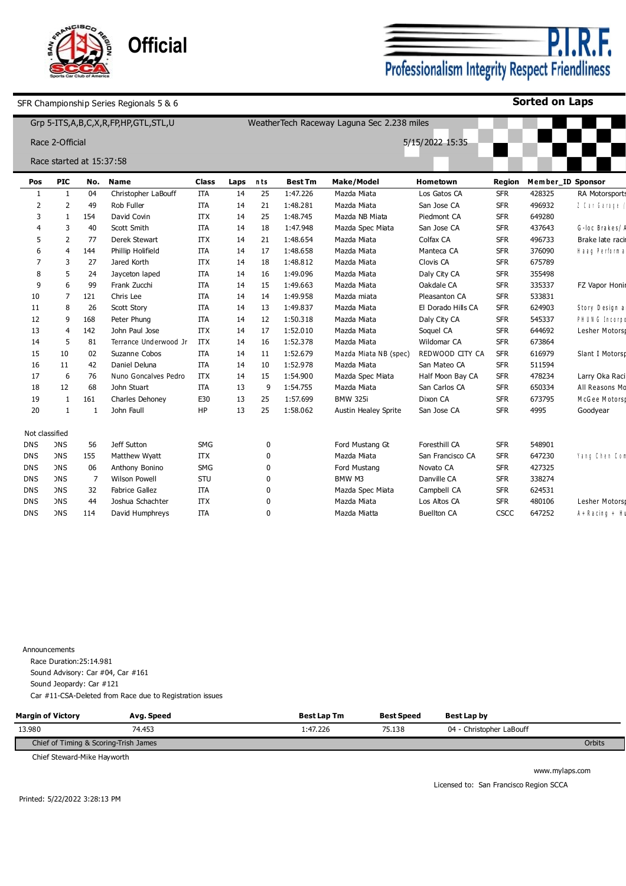

P.I. ۰F. Professionalism Integrity Respect Friendliness

**Sorted on Laps**

|                |                          |              | Grp 5-ITS, A, B, C, X, R, FP, HP, GTL, STL, U |              |      |             |                | WeatherTech Raceway Laguna Sec 2.238 miles |                    |               |                   |                         |
|----------------|--------------------------|--------------|-----------------------------------------------|--------------|------|-------------|----------------|--------------------------------------------|--------------------|---------------|-------------------|-------------------------|
|                | Race 2-Official          |              |                                               |              |      |             |                |                                            | 5/15/2022 15:35    |               |                   |                         |
|                | Race started at 15:37:58 |              |                                               |              |      |             |                |                                            |                    |               |                   |                         |
| Pos            | <b>PIC</b>               | No.          | <b>Name</b>                                   | <b>Class</b> | Laps | nts         | <b>Best Tm</b> | <b>Make/Model</b>                          | Hometown           | <b>Region</b> | Member_ID Sponsor |                         |
| -1             | 1                        | 04           | Christopher LaBouff                           | ITA          | 14   | 25          | 1:47.226       | Mazda Miata                                | Los Gatos CA       | <b>SFR</b>    | 428325            | <b>RA Motorsports</b>   |
| 2              | $\overline{2}$           | 49           | Rob Fuller                                    | ITA          | 14   | 21          | 1:48.281       | Mazda Miata                                | San Jose CA        | <b>SFR</b>    | 496932            | $1$ Car Garage          |
| 3              | -1                       | 154          | David Covin                                   | <b>ITX</b>   | 14   | 25          | 1:48.745       | Mazda NB Miata                             | Piedmont CA        | <b>SFR</b>    | 649280            |                         |
|                | 3                        | 40           | Scott Smith                                   | <b>ITA</b>   | 14   | 18          | 1:47.948       | Mazda Spec Miata                           | San Jose CA        | <b>SFR</b>    | 437643            | G-loc Brakes/A          |
| 5              | 2                        | 77           | <b>Derek Stewart</b>                          | <b>ITX</b>   | 14   | 21          | 1:48.654       | Mazda Miata                                | Colfax CA          | <b>SFR</b>    | 496733            | Brake late racin        |
|                | $\overline{4}$           | 144          | Phillip Holifield                             | ITA          | 14   | 17          | 1:48.658       | Mazda Miata                                | Manteca CA         | <b>SFR</b>    | 376090            | Haag Performa           |
|                | 3                        | 27           | Jared Korth                                   | <b>ITX</b>   | 14   | 18          | 1:48.812       | Mazda Miata                                | Clovis CA          | <b>SFR</b>    | 675789            |                         |
| 8              | 5                        | 24           | Jayceton laped                                | ITA          | 14   | 16          | 1:49.096       | Mazda Miata                                | Daly City CA       | <b>SFR</b>    | 355498            |                         |
| 9              | 6                        | 99           | Frank Zucchi                                  | ITA          | 14   | 15          | 1:49.663       | Mazda Miata                                | Oakdale CA         | <b>SFR</b>    | 335337            | FZ Vapor Honir          |
| 10             | 7                        | 121          | Chris Lee                                     | ITA          | 14   | 14          | 1:49.958       | Mazda miata                                | Pleasanton CA      | <b>SFR</b>    | 533831            |                         |
| 11             | 8                        | 26           | Scott Story                                   | ITA          | 14   | 13          | 1:49.837       | Mazda Miata                                | El Dorado Hills CA | <b>SFR</b>    | 624903            | Story Design a          |
| 12             | 9                        | 168          | Peter Phung                                   | ITA          | 14   | 12          | 1:50.318       | Mazda Miata                                | Daly City CA       | <b>SFR</b>    | 545337            | PH UNG Incorpo          |
| 13             | $\overline{4}$           | 142          | John Paul Jose                                | <b>ITX</b>   | 14   | 17          | 1:52.010       | Mazda Miata                                | Soquel CA          | <b>SFR</b>    | 644692            | Lesher Motors           |
| 14             | 5                        | 81           | Terrance Underwood Jr                         | <b>ITX</b>   | 14   | 16          | 1:52.378       | Mazda Miata                                | Wildomar CA        | <b>SFR</b>    | 673864            |                         |
| 15             | 10                       | 02           | Suzanne Cobos                                 | ITA          | 14   | 11          | 1:52.679       | Mazda Miata NB (spec)                      | REDWOOD CITY CA    | <b>SFR</b>    | 616979            | Slant I Motorsp         |
| 16             | 11                       | 42           | Daniel Deluna                                 | ITA          | 14   | 10          | 1:52.978       | Mazda Miata                                | San Mateo CA       | <b>SFR</b>    | 511594            |                         |
| 17             | 6                        | 76           | Nuno Goncalves Pedro                          | <b>ITX</b>   | 14   | 15          | 1:54.900       | Mazda Spec Miata                           | Half Moon Bay CA   | <b>SFR</b>    | 478234            | Larry Oka Raci          |
| 18             | 12                       | 68           | John Stuart                                   | ITA          | 13   | 9           | 1:54.755       | Mazda Miata                                | San Carlos CA      | <b>SFR</b>    | 650334            | All Reasons Mo          |
| 19             | 1                        | 161          | Charles Dehoney                               | E30          | 13   | 25          | 1:57.699       | <b>BMW 325i</b>                            | Dixon CA           | <b>SFR</b>    | 673795            | McGee Motorsp           |
| 20             | 1                        | $\mathbf{1}$ | John Faull                                    | HP           | 13   | 25          | 1:58.062       | <b>Austin Healey Sprite</b>                | San Jose CA        | <b>SFR</b>    | 4995              | Goodyear                |
| Not classified |                          |              |                                               |              |      |             |                |                                            |                    |               |                   |                         |
| <b>DNS</b>     | <b>DNS</b>               | 56           | Jeff Sutton                                   | SMG          |      | $\mathbf 0$ |                | Ford Mustang Gt                            | Foresthill CA      | <b>SFR</b>    | 548901            |                         |
| <b>DNS</b>     | <b>DNS</b>               | 155          | Matthew Wyatt                                 | <b>ITX</b>   |      | $\mathbf 0$ |                | Mazda Miata                                | San Francisco CA   | <b>SFR</b>    | 647230            | Yang Chen Com           |
| <b>DNS</b>     | <b>DNS</b>               | 06           | Anthony Bonino                                | SMG          |      | 0           |                | Ford Mustang                               | Novato CA          | <b>SFR</b>    | 427325            |                         |
| <b>DNS</b>     | <b>DNS</b>               | 7            | <b>Wilson Powell</b>                          | STU          |      | 0           |                | BMW M3                                     | Danville CA        | <b>SFR</b>    | 338274            |                         |
| <b>DNS</b>     | <b>DNS</b>               | 32           | Fabrice Gallez                                | ITA          |      | 0           |                | Mazda Spec Miata                           | Campbell CA        | <b>SFR</b>    | 624531            |                         |
| <b>DNS</b>     | <b>DNS</b>               | 44           | Joshua Schachter                              | <b>ITX</b>   |      | 0           |                | Mazda Miata                                | Los Altos CA       | <b>SFR</b>    | 480106            | Lesher Motors           |
| <b>DNS</b>     | <b>DNS</b>               | 114          | David Humphreys                               | <b>ITA</b>   |      | 0           |                | Mazda Miatta                               | <b>Buellton CA</b> | CSCC          | 647252            | $A + R$ a cin $q + H$ u |
|                |                          |              |                                               |              |      |             |                |                                            |                    |               |                   |                         |

Announcements Race Duration:25:14.981 Sound Advisory: Car #04, Car #161 Sound Jeopardy: Car #121 Car #11-CSA-Deleted from Race due to Registration issues

| <b>Margin of Victory</b>              | Avg. Speed | <b>Best Lap Tm</b> | <b>Best Speed</b> | Best Lap by              |        |
|---------------------------------------|------------|--------------------|-------------------|--------------------------|--------|
| 13.980                                | 74.453     | l:47.226           | 75.138            | 04 - Christopher LaBouff |        |
| Chief of Timing & Scoring-Trish James |            |                    |                   |                          | Orbits |

Chief Steward-Mike Hayworth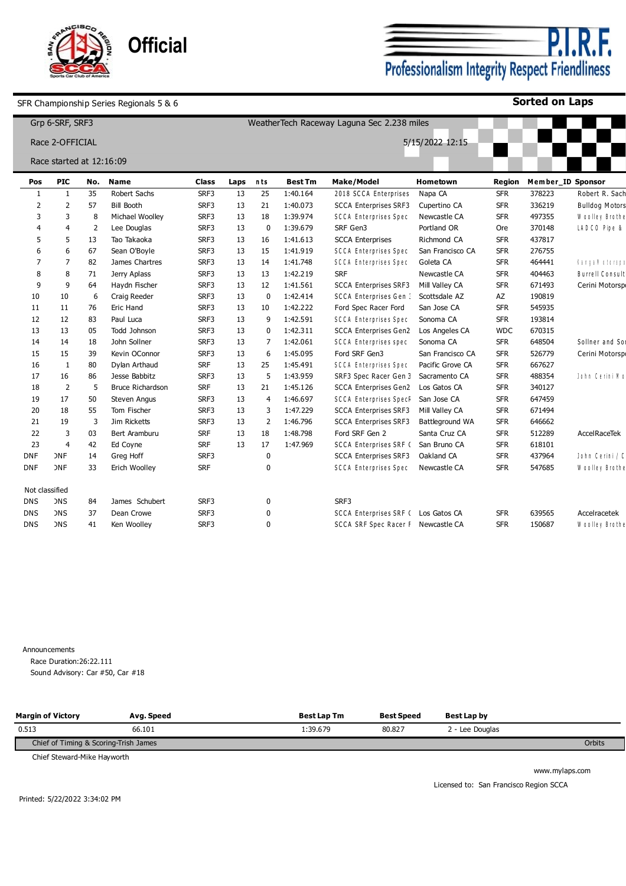

**P.I.R.F.**<br>Professionalism Integrity Respect Friendliness

**Sorted on Laps**

|            |                | Grp 6-SRF, SRF3          |     |                         |            |      |                |                | WeatherTech Raceway Laguna Sec 2.238 miles |                  |               |        |                        |
|------------|----------------|--------------------------|-----|-------------------------|------------|------|----------------|----------------|--------------------------------------------|------------------|---------------|--------|------------------------|
|            |                | Race 2-OFFICIAL          |     |                         |            |      |                |                |                                            | 5/15/2022 12:15  |               |        |                        |
|            |                | Race started at 12:16:09 |     |                         |            |      |                |                |                                            |                  |               |        |                        |
|            | Pos            | <b>PIC</b>               | No. | <b>Name</b>             | Class      | Laps | nts            | <b>Best Tm</b> | <b>Make/Model</b>                          | Hometown         | <b>Region</b> |        | Member_ID Sponsor      |
|            | $\mathbf{1}$   | 1                        | 35  | Robert Sachs            | SRF3       | 13   | 25             | 1:40.164       | 2018 SCCA Enterprises                      | Napa CA          | <b>SFR</b>    | 378223 | Robert R. Sach         |
|            | $\overline{2}$ | $\overline{2}$           | 57  | <b>Bill Booth</b>       | SRF3       | 13   | 21             | 1:40.073       | <b>SCCA Enterprises SRF3</b>               | Cupertino CA     | <b>SFR</b>    | 336219 | <b>Bulldog Motors</b>  |
|            | 3              | 3                        | 8   | Michael Woolley         | SRF3       | 13   | 18             | 1:39.974       | <b>SCCA Enterprises Spec</b>               | Newcastle CA     | <b>SFR</b>    | 497355 | Woolley Brothe         |
|            |                | 4                        | -2  | Lee Douglas             | SRF3       | 13   | $\Omega$       | 1:39.679       | SRF Gen3                                   | Portland OR      | Ore           | 370148 | LADCO Pipe &           |
|            |                | 5                        | 13  | Tao Takaoka             | SRF3       | 13   | 16             | 1:41.613       | <b>SCCA Enterprises</b>                    | Richmond CA      | <b>SFR</b>    | 437817 |                        |
|            |                | 6                        | 67  | Sean O'Boyle            | SRF3       | 13   | 15             | 1:41.919       | <b>SCCA Enterprises Spec</b>               | San Francisco CA | <b>SFR</b>    | 276755 |                        |
|            |                | $\overline{7}$           | 82  | James Chartres          | SRF3       | 13   | 14             | 1:41.748       | SCCA Enterprises Spec                      | Goleta CA        | <b>SFR</b>    | 464441 | <b>Tangall obseque</b> |
|            |                | 8                        | 71  | Jerry Aplass            | SRF3       | 13   | 13             | 1:42.219       | <b>SRF</b>                                 | Newcastle CA     | <b>SFR</b>    | 404463 | <b>Burrell Consult</b> |
|            | 9              | 9                        | 64  | Haydn Fischer           | SRF3       | 13   | 12             | 1:41.561       | <b>SCCA Enterprises SRF3</b>               | Mill Valley CA   | <b>SFR</b>    | 671493 | Cerini Motorspo        |
|            | 10             | 10                       | 6   | Craig Reeder            | SRF3       | 13   | $\mathbf 0$    | 1:42.414       | <b>SCCA Enterprises Gen:</b>               | Scottsdale AZ    | AZ            | 190819 |                        |
|            | 11             | 11                       | 76  | <b>Eric Hand</b>        | SRF3       | 13   | 10             | 1:42.222       | Ford Spec Racer Ford                       | San Jose CA      | <b>SFR</b>    | 545935 |                        |
|            | 12             | 12                       | 83  | Paul Luca               | SRF3       | 13   | 9              | 1:42.591       | <b>SCCA Enterprises Spec</b>               | Sonoma CA        | <b>SFR</b>    | 193814 |                        |
|            | 13             | 13                       | 05  | Todd Johnson            | SRF3       | 13   | $\mathbf 0$    | 1:42.311       | <b>SCCA Enterprises Gen2</b>               | Los Angeles CA   | <b>WDC</b>    | 670315 |                        |
|            | 14             | 14                       | 18  | John Sollner            | SRF3       | 13   | $\overline{7}$ | 1:42.061       | <b>SCCA Enterprises spec</b>               | Sonoma CA        | <b>SFR</b>    | 648504 | Sollner and Sor        |
|            | 15             | 15                       | 39  | Kevin OConnor           | SRF3       | 13   | 6              | 1:45.095       | Ford SRF Gen3                              | San Francisco CA | <b>SFR</b>    | 526779 | Cerini Motorspo        |
|            | 16             | -1                       | 80  | Dylan Arthaud           | <b>SRF</b> | 13   | 25             | 1:45.491       | SCCA Enterprises Spec                      | Pacific Grove CA | <b>SFR</b>    | 667627 |                        |
|            | 17             | 16                       | 86  | Jesse Babbitz           | SRF3       | 13   | 5              | 1:43.959       | SRF3 Spec Racer Gen 3                      | Sacramento CA    | <b>SFR</b>    | 488354 | John Cerini Mo         |
|            | 18             | $\overline{2}$           | -5  | <b>Bruce Richardson</b> | <b>SRF</b> | 13   | 21             | 1:45.126       | SCCA Enterprises Gen2                      | Los Gatos CA     | <b>SFR</b>    | 340127 |                        |
|            | 19             | 17                       | 50  | <b>Steven Angus</b>     | SRF3       | 13   | $\overline{4}$ | 1:46.697       | <b>SCCA Enterprises SpecR</b>              | San Jose CA      | <b>SFR</b>    | 647459 |                        |
|            | 20             | 18                       | 55  | Tom Fischer             | SRF3       | 13   | 3              | 1:47.229       | <b>SCCA Enterprises SRF3</b>               | Mill Valley CA   | <b>SFR</b>    | 671494 |                        |
|            | 21             | 19                       | 3   | Jim Ricketts            | SRF3       | 13   | $\overline{2}$ | 1:46.796       | <b>SCCA Enterprises SRF3</b>               | Battleground WA  | <b>SFR</b>    | 646662 |                        |
|            | 22             | 3                        | 03  | Bert Aramburu           | <b>SRF</b> | 13   | 18             | 1:48.798       | Ford SRF Gen 2                             | Santa Cruz CA    | <b>SFR</b>    | 512289 | AccelRaceTek           |
|            | 23             | 4                        | 42  | Ed Coyne                | <b>SRF</b> | 13   | 17             | 1:47.969       | <b>SCCA Enterprises SRF (</b>              | San Bruno CA     | <b>SFR</b>    | 618101 |                        |
|            | <b>DNF</b>     | <b>DNF</b>               | 14  | Greg Hoff               | SRF3       |      | $\Omega$       |                | <b>SCCA Enterprises SRF3</b>               | Oakland CA       | <b>SFR</b>    | 437964 | John Cerini / C        |
| <b>DNF</b> |                | <b>DNF</b>               | 33  | Erich Woolley           | <b>SRF</b> |      | $\Omega$       |                | <b>SCCA Enterprises Spec</b>               | Newcastle CA     | <b>SFR</b>    | 547685 | Woolley Brothe         |
|            | Not classified |                          |     |                         |            |      |                |                |                                            |                  |               |        |                        |
|            | <b>DNS</b>     | <b>DNS</b>               | 84  | James Schubert          | SRF3       |      | $\Omega$       |                | SRF3                                       |                  |               |        |                        |
|            | <b>DNS</b>     | <b>DNS</b>               | 37  | Dean Crowe              | SRF3       |      | $\Omega$       |                | SCCA Enterprises SRF ( Los Gatos CA        |                  | <b>SFR</b>    | 639565 | Accelracetek           |
| <b>DNS</b> |                | <b>DNS</b>               | 41  | Ken Woolley             | SRF3       |      | $\Omega$       |                | SCCA SRF Spec Racer F Newcastle CA         |                  | <b>SFR</b>    | 150687 | Woolley Brothe         |

Announcements Race Duration:26:22.111 Sound Advisory: Car #50, Car #18

| <b>Margin of Victory</b>              | Avg. Speed | <b>Best Lap Tm</b> | <b>Best Speed</b> | Best Lap by     |        |
|---------------------------------------|------------|--------------------|-------------------|-----------------|--------|
| 0.513                                 | 66.101     | 1:39.679           | 80.827            | 2 - Lee Doualas |        |
| Chief of Timing & Scoring-Trish James |            |                    |                   |                 | Orbits |

Chief Steward-Mike Hayworth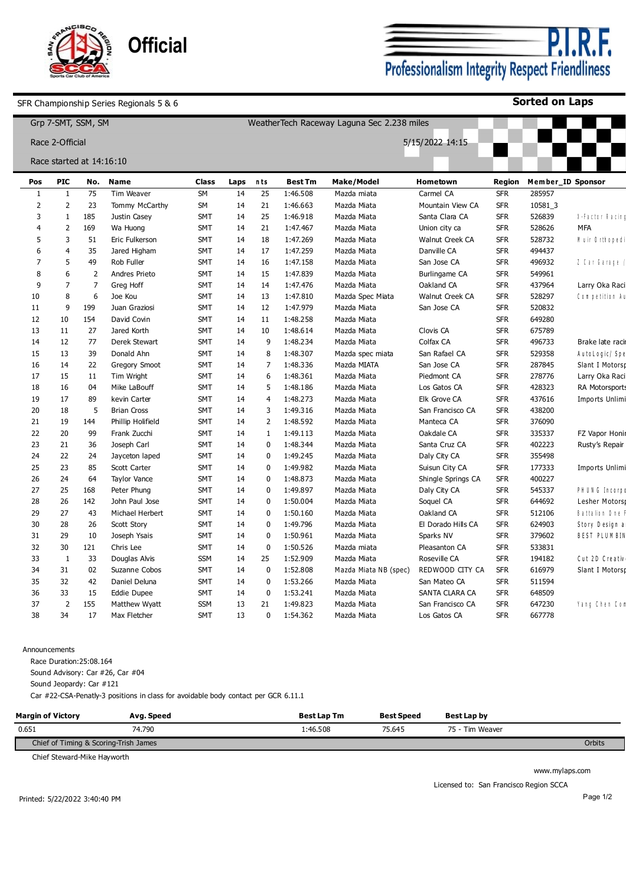

**Sorted on Laps**

|                     |                            | Grp 7-SMT, SSM, SM       |                           |                    |            |                |                            | WeatherTech Raceway Laguna Sec 2.238 miles |                       |                          |                             |                       |
|---------------------|----------------------------|--------------------------|---------------------------|--------------------|------------|----------------|----------------------------|--------------------------------------------|-----------------------|--------------------------|-----------------------------|-----------------------|
|                     | Race 2-Official            |                          |                           |                    |            |                |                            |                                            | 5/15/2022 14:15       |                          |                             |                       |
|                     |                            | Race started at 14:16:10 |                           |                    |            |                |                            |                                            |                       |                          |                             |                       |
|                     |                            |                          |                           |                    |            |                |                            |                                            |                       |                          |                             |                       |
| Pos<br>$\mathbf{1}$ | <b>PIC</b><br>$\mathbf{1}$ | No.<br>75                | <b>Name</b><br>Tim Weaver | <b>Class</b><br>SM | Laps<br>14 | nts<br>25      | <b>Best Tm</b><br>1:46.508 | <b>Make/Model</b>                          | Hometown<br>Carmel CA | Region<br><b>SFR</b>     | Member ID Sponsor<br>285957 |                       |
| $\overline{2}$      | 2                          | 23                       | Tommy McCarthy            | SM                 | 14         | 21             | 1:46.663                   | Mazda miata<br>Mazda Miata                 | Mountain View CA      | <b>SFR</b>               | 10581_3                     |                       |
| 3                   | $\mathbf{1}$               | 185                      | Justin Casey              | <b>SMT</b>         | 14         | 25             | 1:46.918                   | Mazda Miata                                | Santa Clara CA        | <b>SFR</b>               | 526839                      | Ne Falctoir Rialcin d |
| 4                   | $\overline{2}$             | 169                      | Wa Huong                  | SMT                | 14         | 21             | 1:47.467                   | Mazda Miata                                | Union city ca         | <b>SFR</b>               | 528626                      | <b>MFA</b>            |
| 5                   | 3                          | 51                       | Eric Fulkerson            | SMT                | 14         | 18             | 1:47.269                   | Mazda Miata                                | Walnut Creek CA       | <b>SFR</b>               | 528732                      | Nuir Orthopedi        |
| 6                   | $\overline{4}$             | 35                       | Jared Higham              | <b>SMT</b>         | 14         | 17             | 1:47.259                   | Mazda Miata                                | Danville CA           | <b>SFR</b>               | 494437                      |                       |
| $\overline{7}$      | 5                          | 49                       | Rob Fuller                | SMT                | 14         | 16             | 1:47.158                   | Mazda Miata                                | San Jose CA           | <b>SFR</b>               | 496932                      | $I$ Car Garage $ $    |
| 8                   | 6                          | $\overline{2}$           | Andres Prieto             | SMT                | 14         | 15             | 1:47.839                   | Mazda Miata                                | Burlingame CA         | <b>SFR</b>               | 549961                      |                       |
| 9                   | $\overline{7}$             | 7                        |                           | <b>SMT</b>         |            |                |                            |                                            |                       | <b>SFR</b>               |                             |                       |
|                     | 8                          | 6                        | Greg Hoff                 |                    | 14         | 14             | 1:47.476                   | Mazda Miata                                | Oakland CA            |                          | 437964                      | Larry Oka Raci        |
| 10                  | 9                          | 199                      | Joe Kou<br>Juan Graziosi  | SMT<br><b>SMT</b>  | 14<br>14   | 13<br>12       | 1:47.810<br>1:47.979       | Mazda Spec Miata                           | Walnut Creek CA       | <b>SFR</b><br><b>SFR</b> | 528297<br>520832            | Competition Au        |
| 11                  |                            |                          |                           |                    |            |                |                            | Mazda Miata                                | San Jose CA           |                          |                             |                       |
| 12                  | 10                         | 154                      | David Covin               | SMT                | 14         | 11             | 1:48.258                   | Mazda Miata                                |                       | <b>SFR</b>               | 649280                      |                       |
| 13                  | 11                         | 27                       | Jared Korth               | SMT                | 14         | 10             | 1:48.614                   | Mazda Miata                                | Clovis CA             | <b>SFR</b>               | 675789                      |                       |
| 14                  | 12                         | 77                       | Derek Stewart             | <b>SMT</b>         | 14         | 9              | 1:48.234                   | Mazda Miata                                | Colfax CA             | <b>SFR</b>               | 496733                      | Brake late racin      |
| 15                  | 13                         | 39                       | Donald Ahn                | <b>SMT</b>         | 14         | 8              | 1:48.307                   | Mazda spec miata                           | San Rafael CA         | <b>SFR</b>               | 529358                      | AutoLogic/Spe         |
| 16                  | 14                         | 22                       | Gregory Smoot             | <b>SMT</b>         | 14         | $\overline{7}$ | 1:48.336                   | Mazda MIATA                                | San Jose CA           | <b>SFR</b>               | 287845                      | Slant I Motorsp       |
| 17                  | 15                         | 11                       | Tim Wright                | SMT                | 14         | 6              | 1:48.361                   | Mazda Miata                                | Piedmont CA           | <b>SFR</b>               | 278776                      | Larry Oka Raci        |
| 18                  | 16                         | 04                       | Mike LaBouff              | <b>SMT</b>         | 14         | 5              | 1:48.186                   | Mazda Miata                                | Los Gatos CA          | <b>SFR</b>               | 428323                      | RA Motorsports        |
| 19                  | 17                         | 89                       | kevin Carter              | <b>SMT</b>         | 14         | $\overline{4}$ | 1:48.273                   | Mazda Miata                                | Elk Grove CA          | <b>SFR</b>               | 437616                      | Imports Unlimi        |
| 20                  | 18                         | 5                        | <b>Brian Cross</b>        | SMT                | 14         | 3              | 1:49.316                   | Mazda Miata                                | San Francisco CA      | <b>SFR</b>               | 438200                      |                       |
| 21                  | 19                         | 144                      | Phillip Holifield         | <b>SMT</b>         | 14         | $\overline{2}$ | 1:48.592                   | Mazda Miata                                | Manteca CA            | <b>SFR</b>               | 376090                      |                       |
| 22                  | 20                         | 99                       | Frank Zucchi              | <b>SMT</b>         | 14         | $\mathbf{1}$   | 1:49.113                   | Mazda Miata                                | Oakdale CA            | <b>SFR</b>               | 335337                      | FZ Vapor Honir        |
| 23                  | 21                         | 36                       | Joseph Carl               | <b>SMT</b>         | 14         | 0              | 1:48.344                   | Mazda Miata                                | Santa Cruz CA         | <b>SFR</b>               | 402223                      | Rusty's Repair        |
| 24                  | 22                         | 24                       | Jayceton laped            | <b>SMT</b>         | 14         | 0              | 1:49.245                   | Mazda Miata                                | Daly City CA          | <b>SFR</b>               | 355498                      |                       |
| 25                  | 23                         | 85                       | Scott Carter              | <b>SMT</b>         | 14         | 0              | 1:49.982                   | Mazda Miata                                | Suisun City CA        | <b>SFR</b>               | 177333                      | Imports Unlimi        |
| 26                  | 24                         | 64                       | <b>Taylor Vance</b>       | <b>SMT</b>         | 14         | $\mathbf 0$    | 1:48.873                   | Mazda Miata                                | Shingle Springs CA    | <b>SFR</b>               | 400227                      |                       |
| 27                  | 25                         | 168                      | Peter Phung               | SMT                | 14         | 0              | 1:49.897                   | Mazda Miata                                | Daly City CA          | <b>SFR</b>               | 545337                      | PH UNG Incorpo        |
| 28                  | 26                         | 142                      | John Paul Jose            | <b>SMT</b>         | 14         | $\mathbf 0$    | 1:50.004                   | Mazda Miata                                | Soquel CA             | <b>SFR</b>               | 644692                      | Lesher Motorst        |
| 29                  | 27                         | 43                       | Michael Herbert           | <b>SMT</b>         | 14         | $\mathbf 0$    | 1:50.160                   | Mazda Miata                                | Oakland CA            | <b>SFR</b>               | 512106                      | Battalion One         |
| 30                  | 28                         | 26                       | Scott Story               | <b>SMT</b>         | 14         | 0              | 1:49.796                   | Mazda Miata                                | El Dorado Hills CA    | <b>SFR</b>               | 624903                      | Story Design a        |
| 31                  | 29                         | 10                       | Joseph Ysais              | <b>SMT</b>         | 14         | 0              | 1:50.961                   | Mazda Miata                                | Sparks NV             | <b>SFR</b>               | 379602                      | <b>BEST PLUMBIN</b>   |
| 32                  | 30                         | 121                      | Chris Lee                 | <b>SMT</b>         | 14         | 0              | 1:50.526                   | Mazda miata                                | Pleasanton CA         | <b>SFR</b>               | 533831                      |                       |
| 33                  | $\mathbf{1}$               | 33                       | Douglas Alvis             | <b>SSM</b>         | 14         | 25             | 1:52.909                   | Mazda Miata                                | Roseville CA          | <b>SFR</b>               | 194182                      | Cut 2D Creativ        |
| 34                  | 31                         | 02                       | Suzanne Cobos             | <b>SMT</b>         | 14         | $\mathbf 0$    | 1:52.808                   | Mazda Miata NB (spec)                      | REDWOOD CITY CA       | <b>SFR</b>               | 616979                      | Slant I Motorsp       |
| 35                  | 32                         | 42                       | Daniel Deluna             | SMT                | 14         | 0              | 1:53.266                   | Mazda Miata                                | San Mateo CA          | <b>SFR</b>               | 511594                      |                       |
| 36                  | 33                         | 15                       | Eddie Dupee               | <b>SMT</b>         | 14         | $\mathbf{0}$   | 1:53.241                   | Mazda Miata                                | SANTA CLARA CA        | <b>SFR</b>               | 648509                      |                       |
| 37                  | $\overline{2}$             | 155                      | Matthew Wyatt             | <b>SSM</b>         | 13         | 21             | 1:49.823                   | Mazda Miata                                | San Francisco CA      | <b>SFR</b>               | 647230                      | Yang Chen Com         |
| 38                  | 34                         | 17                       | Max Fletcher              | SMT                | 13         | 0              | 1:54.362                   | Mazda Miata                                | Los Gatos CA          | <b>SFR</b>               | 667778                      |                       |
|                     |                            |                          |                           |                    |            |                |                            |                                            |                       |                          |                             |                       |

#### Announcements

Race Duration:25:08.164

Sound Advisory: Car #26, Car #04

Sound Jeopardy: Car #121

Car #22-CSA-Penatly-3 positions in class for avoidable body contact per GCR 6.11.1

| <b>Margin of Victory</b>              | Avg. Speed | <b>Best Lap Tm</b> | <b>Best Speed</b> | <b>Best Lap by</b> |  |  |  |  |  |
|---------------------------------------|------------|--------------------|-------------------|--------------------|--|--|--|--|--|
| 0.651                                 | 74.790     | 1:46.508           | 75.645            | 75 - Tim Weaver    |  |  |  |  |  |
| Chief of Timing & Scoring-Trish James |            |                    |                   |                    |  |  |  |  |  |

Chief Steward-Mike Hayworth